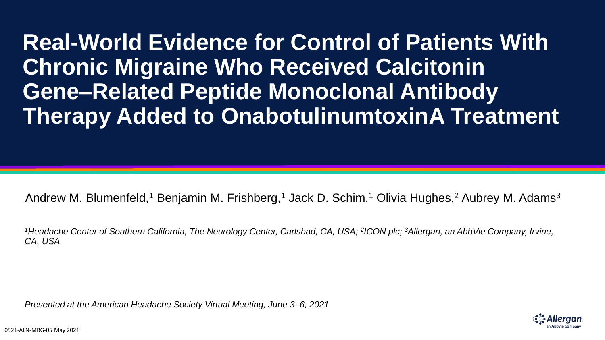**Real-World Evidence for Control of Patients With Chronic Migraine Who Received Calcitonin Gene‒Related Peptide Monoclonal Antibody Therapy Added to OnabotulinumtoxinA Treatment**

Andrew M. Blumenfeld,<sup>1</sup> Benjamin M. Frishberg,<sup>1</sup> Jack D. Schim,<sup>1</sup> Olivia Hughes,<sup>2</sup> Aubrey M. Adams<sup>3</sup>

<sup>1</sup>Headache Center of Southern California, The Neurology Center, Carlsbad, CA, USA; <sup>2</sup>ICON plc; <sup>3</sup>Allergan, an AbbVie Company, Irvine, *CA, USA*

*Presented at the American Headache Society Virtual Meeting, June 3–6, 2021*

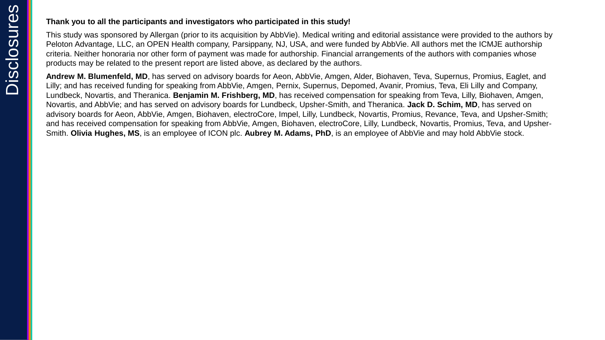#### **Thank you to all the participants and investigators who participated in this study!**

This study was sponsored by Allergan (prior to its acquisition by AbbVie). Medical writing and editorial assistance were provided to the authors by Peloton Advantage, LLC, an OPEN Health company, Parsippany, NJ, USA, and were funded by AbbVie. All authors met the ICMJE authorship criteria. Neither honoraria nor other form of payment was made for authorship. Financial arrangements of the authors with companies whose products may be related to the present report are listed above, as declared by the authors.

**Andrew M. Blumenfeld, MD**, has served on advisory boards for Aeon, AbbVie, Amgen, Alder, Biohaven, Teva, Supernus, Promius, Eaglet, and Lilly; and has received funding for speaking from AbbVie, Amgen, Pernix, Supernus, Depomed, Avanir, Promius, Teva, Eli Lilly and Company, Lundbeck, Novartis, and Theranica. **Benjamin M. Frishberg, MD**, has received compensation for speaking from Teva, Lilly, Biohaven, Amgen, Novartis, and AbbVie; and has served on advisory boards for Lundbeck, Upsher-Smith, and Theranica. **Jack D. Schim, MD**, has served on advisory boards for Aeon, AbbVie, Amgen, Biohaven, electroCore, Impel, Lilly, Lundbeck, Novartis, Promius, Revance, Teva, and Upsher-Smith; and has received compensation for speaking from AbbVie, Amgen, Biohaven, electroCore, Lilly, Lundbeck, Novartis, Promius, Teva, and Upsher-Smith. **Olivia Hughes, MS**, is an employee of ICON plc. **Aubrey M. Adams, PhD**, is an employee of AbbVie and may hold AbbVie stock.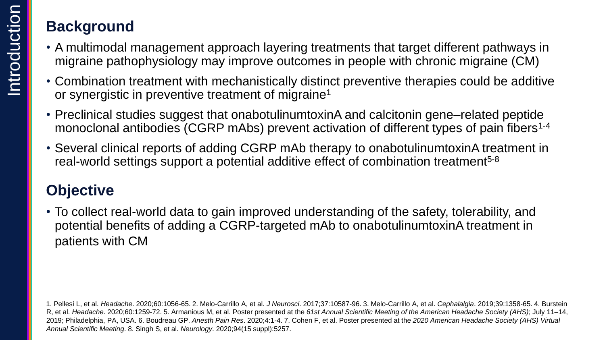## **Background**

- A multimodal management approach layering treatments that target different pathways in migraine pathophysiology may improve outcomes in people with chronic migraine (CM)
- Combination treatment with mechanistically distinct preventive therapies could be additive or synergistic in preventive treatment of migraine<sup>1</sup>
- Preclinical studies suggest that onabotulinumtoxinA and calcitonin gene–related peptide monoclonal antibodies (CGRP mAbs) prevent activation of different types of pain fibers<sup>1-4</sup>
- Several clinical reports of adding CGRP mAb therapy to onabotulinumtoxinA treatment in real-world settings support a potential additive effect of combination treatment<sup>5-8</sup>

# **Objective**

• To collect real-world data to gain improved understanding of the safety, tolerability, and potential benefits of adding a CGRP-targeted mAb to onabotulinumtoxinA treatment in patients with CM

<sup>1.</sup> Pellesi L, et al. *Headache*. 2020;60:1056-65. 2. Melo-Carrillo A, et al. *J Neurosci*. 2017;37:10587-96. 3. Melo-Carrillo A, et al. *Cephalalgia*. 2019;39:1358-65. 4. Burstein R, et al. *Headache*. 2020;60:1259-72. 5. Armanious M, et al. Poster presented at the *61st Annual Scientific Meeting of the American Headache Society (AHS)*; July 11–14, 2019; Philadelphia, PA, USA. 6. Boudreau GP. *Anesth Pain Res*. 2020;4:1-4. 7. Cohen F, et al. Poster presented at the *2020 American Headache Society (AHS) Virtual Annual Scientific Meeting*. 8. Singh S, et al. *Neurology*. 2020;94(15 suppl):5257.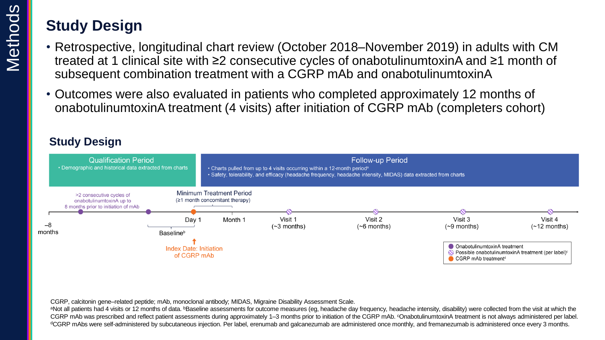# **Study Design**

- Retrospective, longitudinal chart review (October 2018–November 2019) in adults with CM treated at 1 clinical site with ≥2 consecutive cycles of onabotulinumtoxinA and ≥1 month of subsequent combination treatment with a CGRP mAb and onabotulinumtoxinA
- Outcomes were also evaluated in patients who completed approximately 12 months of onabotulinumtoxinA treatment (4 visits) after initiation of CGRP mAb (completers cohort)

### **Study Design**



CGRP, calcitonin gene–related peptide; mAb, monoclonal antibody; MIDAS, Migraine Disability Assessment Scale.

aNot all patients had 4 visits or 12 months of data. **bBaseline assessments for outcome measures** (eg, headache day frequency, headache intensity, disability) were collected from the visit at which the CGRP mAb was prescribed and reflect patient assessments during approximately 1–3 months prior to initiation of the CGRP mAb. °OnabotulinumtoxinA treatment is not always administered per label. dCGRP mAbs were self-administered by subcutaneous injection. Per label, erenumab and galcanezumab are administered once monthly, and fremanezumab is administered once every 3 months.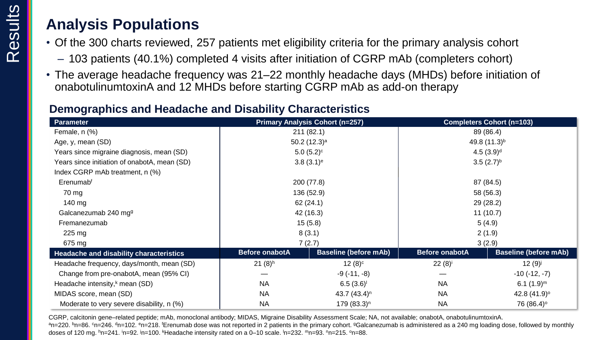## **Analysis Populations**

- Of the 300 charts reviewed, 257 patients met eligibility criteria for the primary analysis cohort
	- 103 patients (40.1%) completed 4 visits after initiation of CGRP mAb (completers cohort)
- The average headache frequency was 21–22 monthly headache days (MHDs) before initiation of onabotulinumtoxinA and 12 MHDs before starting CGRP mAb as add-on therapy

## **Demographics and Headache and Disability Characteristics**

| <b>Parameter</b>                             | <b>Primary Analysis Cohort (n=257)</b> |                              | <b>Completers Cohort (n=103)</b> |                              |
|----------------------------------------------|----------------------------------------|------------------------------|----------------------------------|------------------------------|
| Female, n (%)                                | 211(82.1)                              |                              | 89 (86.4)                        |                              |
| Age, y, mean (SD)                            | 50.2 $(12.3)$ <sup>a</sup>             |                              | 49.8 (11.3) <sup>b</sup>         |                              |
| Years since migraine diagnosis, mean (SD)    | $5.0(5.2)^c$                           |                              | 4.5(3.9) <sup>d</sup>            |                              |
| Years since initiation of onabotA, mean (SD) | $3.8(3.1)^e$                           |                              | $3.5(2.7)^{b}$                   |                              |
| Index CGRP mAb treatment, n (%)              |                                        |                              |                                  |                              |
| Erenumab <sup>f</sup>                        | 200 (77.8)                             |                              | 87 (84.5)                        |                              |
| 70 mg                                        | 136 (52.9)                             |                              | 58 (56.3)                        |                              |
| $140 \text{ mg}$                             | 62(24.1)                               |                              | 29 (28.2)                        |                              |
| Galcanezumab 240 mg <sup>g</sup>             | 42 (16.3)                              |                              | 11(10.7)                         |                              |
| Fremanezumab                                 | 15(5.8)                                |                              | 5(4.9)                           |                              |
| $225 \text{ mg}$                             | 8(3.1)                                 |                              | 2(1.9)                           |                              |
| 675 mg                                       | 7(2.7)                                 |                              | 3(2.9)                           |                              |
| Headache and disability characteristics      | <b>Before onabotA</b>                  | <b>Baseline (before mAb)</b> | <b>Before onabotA</b>            | <b>Baseline (before mAb)</b> |
| Headache frequency, days/month, mean (SD)    | $21 (8)$ <sup>h</sup>                  | $12(8)^{c}$                  | $22(8)^{i}$                      | 12 $(9)^j$                   |
| Change from pre-onabotA, mean (95% CI)       |                                        | $-9(-11, -8)$                |                                  | $-10(-12,-7)$                |
| Headache intensity, $k$ mean (SD)            | <b>NA</b>                              | 6.5(3.6)                     | <b>NA</b>                        | $6.1 (1.9)^m$                |
| MIDAS score, mean (SD)                       | <b>NA</b>                              | 43.7 $(43.4)^n$              | <b>NA</b>                        | 42.8 $(41.9)°$               |
| Moderate to very severe disability, n (%)    | <b>NA</b>                              | $179(83.3)^n$                | <b>NA</b>                        | 76 (86.4) <sup>o</sup>       |

CGRP, calcitonin gene-related peptide; mAb, monoclonal antibody; MIDAS, Migraine Disability Assessment Scale; NA, not available; onabotA, onabotulinumtoxinA. an=220. bn=86. cn=246. dn=102. en=218. fErenumab dose was not reported in 2 patients in the primary cohort. 9Galcanezumab is administered as a 240 mg loading dose, followed by monthly doses of 120 mg. hn=241. hn=92. hn=100. kHeadache intensity rated on a 0–10 scale. hn=232. mn=93. nn=215. on=88.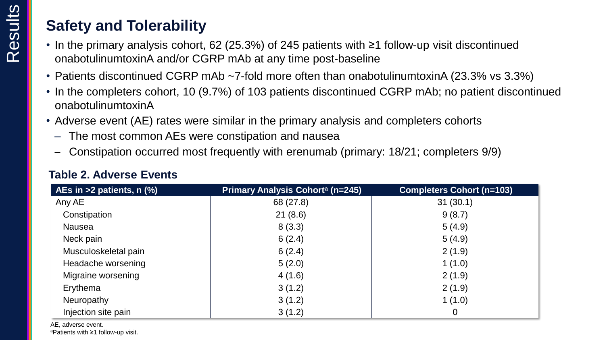## **Safety and Tolerability**

- In the primary analysis cohort, 62 (25.3%) of 245 patients with ≥1 follow-up visit discontinued onabotulinumtoxinA and/or CGRP mAb at any time post-baseline
- Patients discontinued CGRP mAb ~7-fold more often than onabotulinumtoxinA (23.3% vs 3.3%)
- In the completers cohort, 10 (9.7%) of 103 patients discontinued CGRP mAb; no patient discontinued onabotulinumtoxinA
- Adverse event (AE) rates were similar in the primary analysis and completers cohorts
	- The most common AEs were constipation and nausea
	- Constipation occurred most frequently with erenumab (primary: 18/21; completers 9/9)

| AEs in $>2$ patients, n $(\%)$ | <b>Primary Analysis Cohort<sup>a</sup> (n=245)</b> | <b>Completers Cohort (n=103)</b> |
|--------------------------------|----------------------------------------------------|----------------------------------|
| Any AE                         | 68 (27.8)                                          | 31(30.1)                         |
| Constipation                   | 21(8.6)                                            | 9(8.7)                           |
| <b>Nausea</b>                  | 8(3.3)                                             | 5(4.9)                           |
| Neck pain                      | 6(2.4)                                             | 5(4.9)                           |
| Musculoskeletal pain           | 6(2.4)                                             | 2(1.9)                           |
| Headache worsening             | 5(2.0)                                             | 1(1.0)                           |
| Migraine worsening             | 4(1.6)                                             | 2(1.9)                           |
| Erythema                       | 3(1.2)                                             | 2(1.9)                           |
| Neuropathy                     | 3(1.2)                                             | 1(1.0)                           |
| Injection site pain            | 3(1.2)                                             | $\overline{0}$                   |

### **Table 2. Adverse Events**

AE, adverse event. aPatients with ≥1 follow-up visit.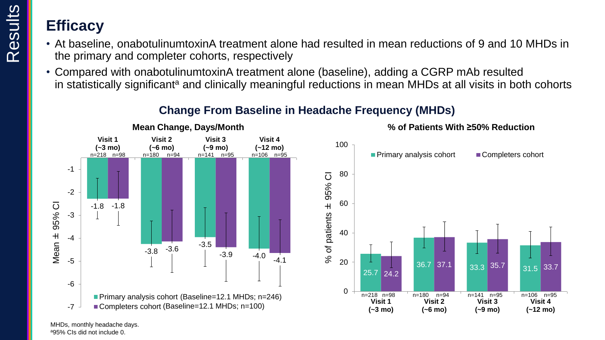Results

- At baseline, onabotulinumtoxinA treatment alone had resulted in mean reductions of 9 and 10 MHDs in the primary and completer cohorts, respectively
- Compared with onabotulinumtoxinA treatment alone (baseline), adding a CGRP mAb resulted in statistically significant<sup>a</sup> and clinically meaningful reductions in mean MHDs at all visits in both cohorts



### **Change From Baseline in Headache Frequency (MHDs)**

MHDs, monthly headache days. <sup>a</sup>95% CIs did not include 0.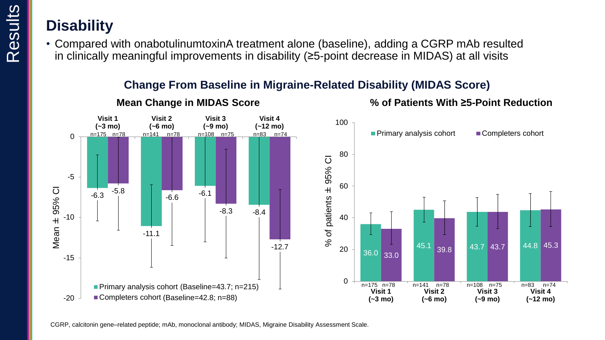## **Disability**

• Compared with onabotulinumtoxinA treatment alone (baseline), adding a CGRP mAb resulted in clinically meaningful improvements in disability (≥5-point decrease in MIDAS) at all visits

### **Change From Baseline in Migraine-Related Disability (MIDAS Score)**



### **Mean Change in MIDAS Score**

**% of Patients With ≥5-Point Reduction**